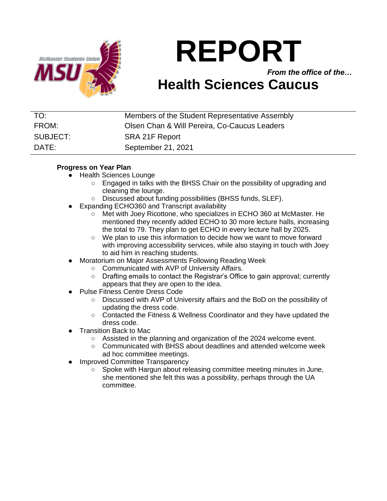

# **REPORT**

*From the office of the…*

## **Health Sciences Caucus**

| TO:      | Members of the Student Representative Assembly |
|----------|------------------------------------------------|
|          |                                                |
| FROM:    | Olsen Chan & Will Pereira, Co-Caucus Leaders   |
|          |                                                |
| SUBJECT: |                                                |
|          | SRA 21F Report                                 |
|          |                                                |
| DATE:    | September 21, 2021                             |
|          |                                                |

### **Progress on Year Plan**

- Health Sciences Lounge
	- Engaged in talks with the BHSS Chair on the possibility of upgrading and cleaning the lounge.
	- Discussed about funding possibilities (BHSS funds, SLEF).
- Expanding ECHO360 and Transcript availability
	- Met with Joey Ricottone, who specializes in ECHO 360 at McMaster. He mentioned they recently added ECHO to 30 more lecture halls, increasing the total to 79. They plan to get ECHO in every lecture hall by 2025.
	- We plan to use this information to decide how we want to move forward with improving accessibility services, while also staying in touch with Joey to aid him in reaching students.
- Moratorium on Major Assessments Following Reading Week
	- Communicated with AVP of University Affairs.
	- Drafting emails to contact the Registrar's Office to gain approval; currently appears that they are open to the idea.
- **Pulse Fitness Centre Dress Code** 
	- Discussed with AVP of University affairs and the BoD on the possibility of updating the dress code.
	- Contacted the Fitness & Wellness Coordinator and they have updated the dress code.
- **Transition Back to Mac** 
	- Assisted in the planning and organization of the 2024 welcome event.
	- $\circ$  Communicated with BHSS about deadlines and attended welcome week ad hoc committee meetings.
- Improved Committee Transparency
	- Spoke with Hargun about releasing committee meeting minutes in June, she mentioned she felt this was a possibility, perhaps through the UA committee.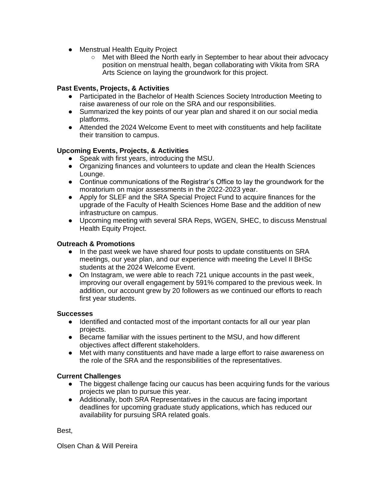- Menstrual Health Equity Project
	- Met with Bleed the North early in September to hear about their advocacy position on menstrual health, began collaborating with Vikita from SRA Arts Science on laying the groundwork for this project.

#### **Past Events, Projects, & Activities**

- Participated in the Bachelor of Health Sciences Society Introduction Meeting to raise awareness of our role on the SRA and our responsibilities.
- Summarized the key points of our year plan and shared it on our social media platforms.
- Attended the 2024 Welcome Event to meet with constituents and help facilitate their transition to campus.

#### **Upcoming Events, Projects, & Activities**

- Speak with first years, introducing the MSU.
- Organizing finances and volunteers to update and clean the Health Sciences Lounge.
- Continue communications of the Registrar's Office to lay the groundwork for the moratorium on major assessments in the 2022-2023 year.
- Apply for SLEF and the SRA Special Project Fund to acquire finances for the upgrade of the Faculty of Health Sciences Home Base and the addition of new infrastructure on campus.
- Upcoming meeting with several SRA Reps, WGEN, SHEC, to discuss Menstrual Health Equity Project.

#### **Outreach & Promotions**

- In the past week we have shared four posts to update constituents on SRA meetings, our year plan, and our experience with meeting the Level II BHSc students at the 2024 Welcome Event.
- On Instagram, we were able to reach 721 unique accounts in the past week, improving our overall engagement by 591% compared to the previous week. In addition, our account grew by 20 followers as we continued our efforts to reach first year students.

#### **Successes**

- Identified and contacted most of the important contacts for all our year plan projects.
- Became familiar with the issues pertinent to the MSU, and how different objectives affect different stakeholders.
- Met with many constituents and have made a large effort to raise awareness on the role of the SRA and the responsibilities of the representatives.

#### **Current Challenges**

- The biggest challenge facing our caucus has been acquiring funds for the various projects we plan to pursue this year.
- Additionally, both SRA Representatives in the caucus are facing important deadlines for upcoming graduate study applications, which has reduced our availability for pursuing SRA related goals.

Best,

Olsen Chan & Will Pereira